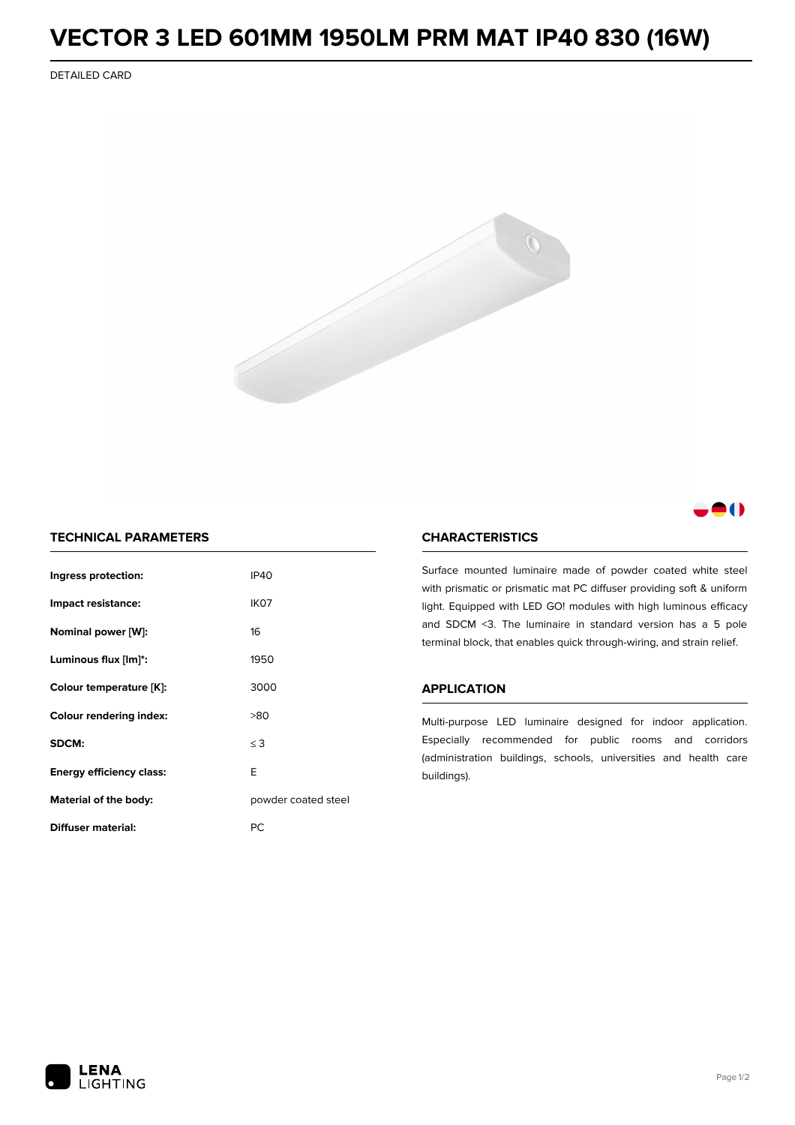# **VECTOR 3 LED 601MM 1950LM PRM MAT IP40 830 (16W)**

DETAILED CARD



## 8 O

### **TECHNICAL PARAMETERS**

| Ingress protection:             | <b>IP40</b>         |  |
|---------------------------------|---------------------|--|
| Impact resistance:              | IK <sub>07</sub>    |  |
| Nominal power [W]:              | 16                  |  |
| Luminous flux [lm]*:            | 1950                |  |
| Colour temperature [K]:         | 3000                |  |
| <b>Colour rendering index:</b>  | >80                 |  |
| SDCM:                           | $\leq$ 3            |  |
| <b>Energy efficiency class:</b> | E                   |  |
| Material of the body:           | powder coated steel |  |
| Diffuser material:              | РC                  |  |

### **CHARACTERISTICS**

Surface mounted luminaire made of powder coated white steel with prismatic or prismatic mat PC diffuser providing soft & uniform light. Equipped with LED GO! modules with high luminous efficacy and SDCM <3. The luminaire in standard version has a 5 pole terminal block, that enables quick through-wiring, and strain relief.

#### **APPLICATION**

Multi-purpose LED luminaire designed for indoor application. Especially recommended for public rooms and corridors (administration buildings, schools, universities and health care buildings).